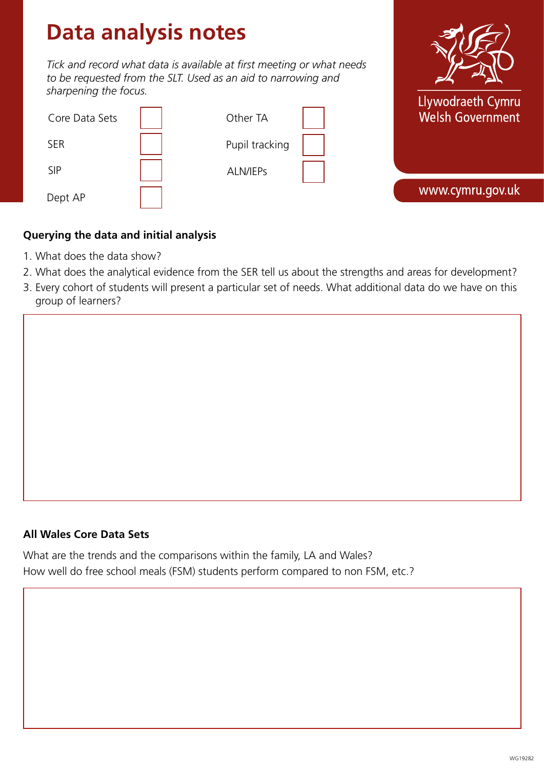# **Data analysis notes**

 $\overline{ }$ 

*Tick and record what data is available at first meeting or what needs to be requested from the SLT. Used as an aid to narrowing and sharpening the focus.* 



| Core Data Sets | Other TA       | Welsh Government, |
|----------------|----------------|-------------------|
| <b>SER</b>     | Pupil tracking |                   |
| <b>SIP</b>     | ALN/IEPs       |                   |
| Dept AP        |                | www.cymru.gov.uk  |

×

# **Querying the data and initial analysis**

- 1. What does the data show?
- 2. What does the analytical evidence from the SER tell us about the strengths and areas for development?
- 3. Every cohort of students will present a particular set of needs. What additional data do we have on this group of learners?

#### **All Wales Core Data Sets**

What are the trends and the comparisons within the family, LA and Wales? How well do free school meals (FSM) students perform compared to non FSM, etc.?